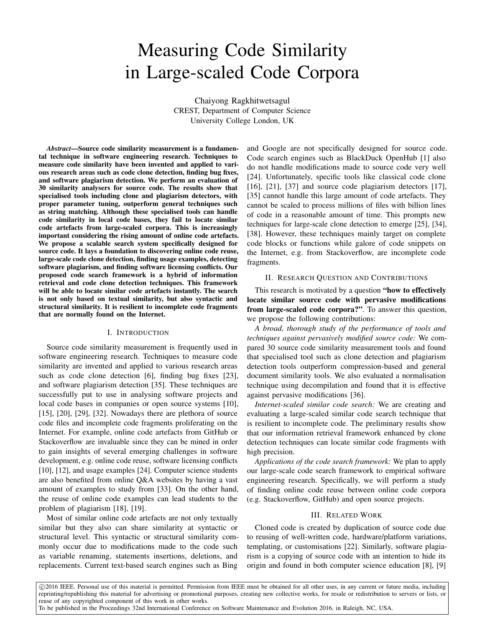# Measuring Code Similarity in Large-scaled Code Corpora

Chaiyong Ragkhitwetsagul CREST, Department of Computer Science University College London, UK

*Abstract*—Source code similarity measurement is a fundamental technique in software engineering research. Techniques to measure code similarity have been invented and applied to various research areas such as code clone detection, finding bug fixes, and software plagiarism detection. We perform an evaluation of 30 similarity analysers for source code. The results show that specialised tools including clone and plagiarism detectors, with proper parameter tuning, outperform general techniques such as string matching. Although these specialised tools can handle code similarity in local code bases, they fail to locate similar code artefacts from large-scaled corpora. This is increasingly important considering the rising amount of online code artefacts. We propose a scalable search system specifically designed for source code. It lays a foundation to discovering online code reuse, large-scale code clone detection, finding usage examples, detecting software plagiarism, and finding software licensing conflicts. Our proposed code search framework is a hybrid of information retrieval and code clone detection techniques. This framework will be able to locate similar code artefacts instantly. The search is not only based on textual similarity, but also syntactic and structural similarity. It is resilient to incomplete code fragments that are normally found on the Internet.

## I. INTRODUCTION

Source code similarity measurement is frequently used in software engineering research. Techniques to measure code similarity are invented and applied to various research areas such as code clone detection [6], finding bug fixes [23], and software plagiarism detection [35]. These techniques are successfully put to use in analysing software projects and local code bases in companies or open source systems [10], [15], [20], [29], [32]. Nowadays there are plethora of source code files and incomplete code fragments proliferating on the Internet. For example, online code artefacts from GitHub or Stackoverflow are invaluable since they can be mined in order to gain insights of several emerging challenges in software development, e.g. online code reuse, software licensing conflicts [10], [12], and usage examples [24]. Computer science students are also benefited from online Q&A websites by having a vast amount of examples to study from [33]. On the other hand, the reuse of online code examples can lead students to the problem of plagiarism [18], [19].

Most of similar online code artefacts are not only textually similar but they also can share similarity at syntactic or structural level. This syntactic or structural similarity commonly occur due to modifications made to the code such as variable renaming, statements insertions, deletions, and replacements. Current text-based search engines such as Bing

and Google are not specifically designed for source code. Code search engines such as BlackDuck OpenHub [1] also do not handle modifications made to source code very well [24]. Unfortunately, specific tools like classical code clone [16], [21], [37] and source code plagiarism detectors [17], [35] cannot handle this large amount of code artefacts. They cannot be scaled to process millions of files with billion lines of code in a reasonable amount of time. This prompts new techniques for large-scale clone detection to emerge [25], [34], [38]. However, these techniques mainly target on complete code blocks or functions while galore of code snippets on the Internet, e.g. from Stackoverflow, are incomplete code fragments.

## II. RESEARCH QUESTION AND CONTRIBUTIONS

This research is motivated by a question "how to effectively locate similar source code with pervasive modifications from large-scaled code corpora?". To answer this question, we propose the following contributions:

*A broad, thorough study of the performance of tools and techniques against pervasively modified source code:* We compared 30 source code similarity measurement tools and found that specialised tool such as clone detection and plagiarism detection tools outperform compression-based and general document similarity tools. We also evaluated a normalisation technique using decompilation and found that it is effective against pervasive modifications [36].

*Internet-scaled similar code search:* We are creating and evaluating a large-scaled similar code search technique that is resilient to incomplete code. The preliminary results show that our information retrieval framework enhanced by clone detection techniques can locate similar code fragments with high precision.

*Applications of the code search framework:* We plan to apply our large-scale code search framework to empirical software engineering research. Specifically, we will perform a study of finding online code reuse between online code corpora (e.g. Stackoverflow, GitHub) and open source projects.

# III. RELATED WORK

Cloned code is created by duplication of source code due to reusing of well-written code, hardware/platform variations, templating, or customisations [22]. Similarly, software plagiarism is a copying of source code with an intention to hide its origin and found in both computer science education [8], [9]

 c 2016 IEEE. Personal use of this material is permitted. Permission from IEEE must be obtained for all other uses, in any current or future media, including reprinting/republishing this material for advertising or promotional purposes, creating new collective works, for resale or redistribution to servers or lists, or reuse of any copyrighted component of this work in other works. To be published in the Proceedings 32nd International Conference on Software Maintenance and Evolution 2016, in Raleigh, NC, USA.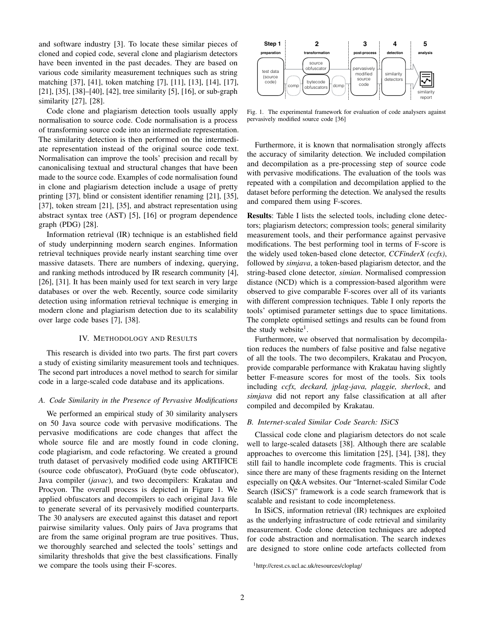and software industry [3]. To locate these similar pieces of cloned and copied code, several clone and plagiarism detectors have been invented in the past decades. They are based on various code similarity measurement techniques such as string matching [37], [41], token matching [7], [11], [13], [14], [17], [21], [35], [38]–[40], [42], tree similarity [5], [16], or sub-graph similarity [27], [28].

Code clone and plagiarism detection tools usually apply normalisation to source code. Code normalisation is a process of transforming source code into an intermediate representation. The similarity detection is then performed on the intermediate representation instead of the original source code text. Normalisation can improve the tools' precision and recall by canonicalising textual and structural changes that have been made to the source code. Examples of code normalisation found in clone and plagiarism detection include a usage of pretty printing [37], blind or consistent identifier renaming [21], [35], [37], token stream [21], [35], and abstract representation using abstract syntax tree (AST) [5], [16] or program dependence graph (PDG) [28].

Information retrieval (IR) technique is an established field of study underpinning modern search engines. Information retrieval techniques provide nearly instant searching time over massive datasets. There are numbers of indexing, querying, and ranking methods introduced by IR research community [4], [26], [31]. It has been mainly used for text search in very large databases or over the web. Recently, source code similarity detection using information retrieval technique is emerging in modern clone and plagiarism detection due to its scalability over large code bases [7], [38].

## IV. METHODOLOGY AND RESULTS

This research is divided into two parts. The first part covers a study of existing similarity measurement tools and techniques. The second part introduces a novel method to search for similar code in a large-scaled code database and its applications.

# *A. Code Similarity in the Presence of Pervasive Modifications*

We performed an empirical study of 30 similarity analysers on 50 Java source code with pervasive modifications. The pervasive modifications are code changes that affect the whole source file and are mostly found in code cloning, code plagiarism, and code refactoring. We created a ground truth dataset of pervasively modified code using ARTIFICE (source code obfuscator), ProGuard (byte code obfuscator), Java compiler (*javac*), and two decompilers: Krakatau and Procyon. The overall process is depicted in Figure 1. We applied obfuscators and decompilers to each original Java file to generate several of its pervasively modified counterparts. The 30 analysers are executed against this dataset and report pairwise similarity values. Only pairs of Java programs that are from the same original program are true positives. Thus, we thoroughly searched and selected the tools' settings and similarity thresholds that give the best classifications. Finally we compare the tools using their F-scores.



Fig. 1. The experimental framework for evaluation of code analysers against pervasively modified source code [36]

Furthermore, it is known that normalisation strongly affects the accuracy of similarity detection. We included compilation and decompilation as a pre-processing step of source code with pervasive modifications. The evaluation of the tools was repeated with a compilation and decompilation applied to the dataset before performing the detection. We analysed the results and compared them using F-scores.

Results: Table I lists the selected tools, including clone detectors; plagiarism detectors; compression tools; general similarity measurement tools, and their performance against pervasive modifications. The best performing tool in terms of F-score is the widely used token-based clone detector, *CCFinderX (ccfx)*, followed by *simjava*, a token-based plagiarism detector, and the string-based clone detector, *simian*. Normalised compression distance (NCD) which is a compression-based algorithm were observed to give comparable F-scores over all of its variants with different compression techniques. Table I only reports the tools' optimised parameter settings due to space limitations. The complete optimised settings and results can be found from the study website<sup>1</sup>.

Furthermore, we observed that normalisation by decompilation reduces the numbers of false positive and false negative of all the tools. The two decompilers, Krakatau and Procyon, provide comparable performance with Krakatau having slightly better F-measure scores for most of the tools. Six tools including *ccfx, deckard, jplag-java, plaggie, sherlock*, and *simjava* did not report any false classification at all after compiled and decompiled by Krakatau.

## *B. Internet-scaled Similar Code Search: ISiCS*

Classical code clone and plagiarism detectors do not scale well to large-scaled datasets [38]. Although there are scalable approaches to overcome this limitation [25], [34], [38], they still fail to handle incomplete code fragments. This is crucial since there are many of these fragments residing on the Internet especially on Q&A websites. Our "Internet-scaled Similar Code Search (ISiCS)" framework is a code search framework that is scalable and resistant to code incompleteness.

In ISiCS, information retrieval (IR) techniques are exploited as the underlying infrastructure of code retrieval and similarity measurement. Code clone detection techniques are adopted for code abstraction and normalisation. The search indexes are designed to store online code artefacts collected from

<sup>1</sup>http://crest.cs.ucl.ac.uk/resources/cloplag/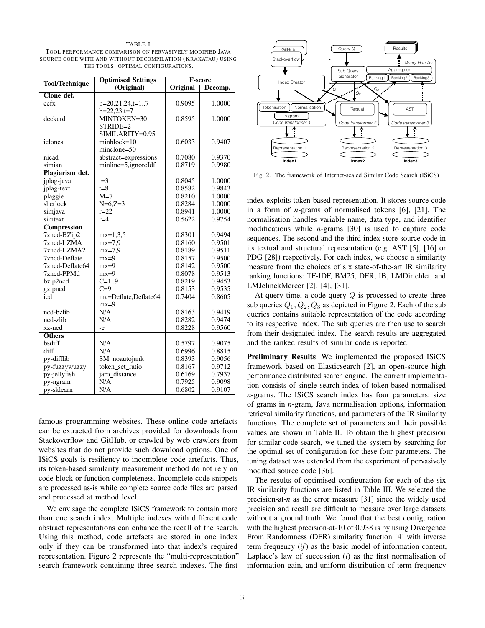TABLE I TOOL PERFORMANCE COMPARISON ON PERVASIVELY MODIFIED JAVA SOURCE CODE WITH AND WITHOUT DECOMPILATION (KRAKATAU) USING THE TOOLS' OPTIMAL CONFIGURATIONS.

|                       | <b>Optimised Settings</b> | F-score  |         |  |
|-----------------------|---------------------------|----------|---------|--|
| <b>Tool/Technique</b> | (Original)                | Original | Decomp. |  |
| Clone det.            |                           |          |         |  |
| ccfx                  | $b=20,21,24,t=17$         | 0.9095   | 1.0000  |  |
|                       | $b=22,23,t=7$             |          |         |  |
| deckard               | MINTOKEN=30               | 0.8595   | 1.0000  |  |
|                       | STRIDE=2                  |          |         |  |
|                       | SIMILARITY=0.95           |          |         |  |
| iclones               | $minblock=10$             | 0.6033   | 0.9407  |  |
|                       | minclone=50               |          |         |  |
| nicad                 | abstract=expressions      | 0.7080   | 0.9370  |  |
| simian                | minline=5,ignoreIdf       | 0.8719   | 0.9980  |  |
| Plagiarism det.       |                           |          |         |  |
| jplag-java            | $t=3$                     | 0.8045   | 1.0000  |  |
| jplag-text            | $t = 8$                   | 0.8582   | 0.9843  |  |
| plaggie               | $M=7$                     | 0.8210   | 1.0000  |  |
| sherlock              | $N=6, Z=3$                | 0.8284   | 1.0000  |  |
| simjava               | $r = 22$                  | 0.8941   | 1.0000  |  |
| simtext               | $r=4$                     | 0.5622   | 0.9754  |  |
| <b>Compression</b>    |                           |          |         |  |
| 7zncd-BZip2           | $mx=1,3,5$                | 0.8301   | 0.9494  |  |
| 7zncd-LZMA            | $mx = 7.9$                | 0.8160   | 0.9501  |  |
| 7zncd-LZMA2           | $mx=7.9$                  | 0.8189   | 0.9511  |  |
| 7zncd-Deflate         | $mx=9$                    | 0.8157   | 0.9500  |  |
| 7zncd-Deflate64       | $mx=9$                    | 0.8142   | 0.9500  |  |
| 7zncd-PPMd            | $mx=9$                    | 0.8078   | 0.9513  |  |
| bzip2ncd              | $C=1.9$                   | 0.8219   | 0.9453  |  |
| gzipncd               | $C=9$                     | 0.8153   | 0.9535  |  |
| icd                   | ma=Deflate,Deflate64      | 0.7404   | 0.8605  |  |
|                       | $mx=9$                    |          |         |  |
| ncd-bzlib             | N/A                       | 0.8163   | 0.9419  |  |
| ncd-zlib              | N/A                       | 0.8282   | 0.9474  |  |
| xz-ncd                | -e                        | 0.8228   | 0.9560  |  |
| <b>Others</b>         |                           |          |         |  |
| bsdiff                | N/A                       | 0.5797   | 0.9075  |  |
| diff                  | N/A                       | 0.6996   | 0.8815  |  |
| py-difflib            | SM_noautojunk             | 0.8393   | 0.9056  |  |
| py-fuzzywuzzy         | token_set_ratio           | 0.8167   | 0.9712  |  |
| py-jellyfish          | jaro_distance             | 0.6169   | 0.7937  |  |
| py-ngram              | N/A                       | 0.7925   | 0.9098  |  |
| py-sklearn            | N/A                       | 0.6802   | 0.9107  |  |

famous programming websites. These online code artefacts can be extracted from archives provided for downloads from Stackoverflow and GitHub, or crawled by web crawlers from websites that do not provide such download options. One of ISiCS goals is resiliency to incomplete code artefacts. Thus, its token-based similarity measurement method do not rely on code block or function completeness. Incomplete code snippets are processed as-is while complete source code files are parsed and processed at method level.

We envisage the complete ISiCS framework to contain more than one search index. Multiple indexes with different code abstract representations can enhance the recall of the search. Using this method, code artefacts are stored in one index only if they can be transformed into that index's required representation. Figure 2 represents the "multi-representation" search framework containing three search indexes. The first



Fig. 2. The framework of Internet-scaled Similar Code Search (ISiCS)

index exploits token-based representation. It stores source code in a form of *n*-grams of normalised tokens [6], [21]. The normalisation handles variable name, data type, and identifier modifications while *n*-grams [30] is used to capture code sequences. The second and the third index store source code in its textual and structural representation (e.g. AST [5], [16] or PDG [28]) respectively. For each index, we choose a similarity measure from the choices of six state-of-the-art IR similarity ranking functions: TF-IDF, BM25, DFR, IB, LMDirichlet, and LMJelinekMercer [2], [4], [31].

At query time, a code query  $Q$  is processed to create three sub queries  $Q_1, Q_2, Q_3$  as depicted in Figure 2. Each of the sub queries contains suitable representation of the code according to its respective index. The sub queries are then use to search from their designated index. The search results are aggregated and the ranked results of similar code is reported.

Preliminary Results: We implemented the proposed ISiCS framework based on Elasticsearch [2], an open-source high performance distributed search engine. The current implementation consists of single search index of token-based normalised *n*-grams. The ISiCS search index has four parameters: size of grams in *n*-gram, Java normalisation options, information retrieval similarity functions, and parameters of the IR similarity functions. The complete set of parameters and their possible values are shown in Table II. To obtain the highest precision for similar code search, we tuned the system by searching for the optimal set of configuration for these four parameters. The tuning dataset was extended from the experiment of pervasively modified source code [36].

The results of optimised configuration for each of the six IR similarity functions are listed in Table III. We selected the precision-at-*n* as the error measure [31] since the widely used precision and recall are difficult to measure over large datasets without a ground truth. We found that the best configuration with the highest precision-at-10 of 0.938 is by using Divergence From Randomness (DFR) similarity function [4] with inverse term frequency (*if*) as the basic model of information content, Laplace's law of succession (*l*) as the first normalisation of information gain, and uniform distribution of term frequency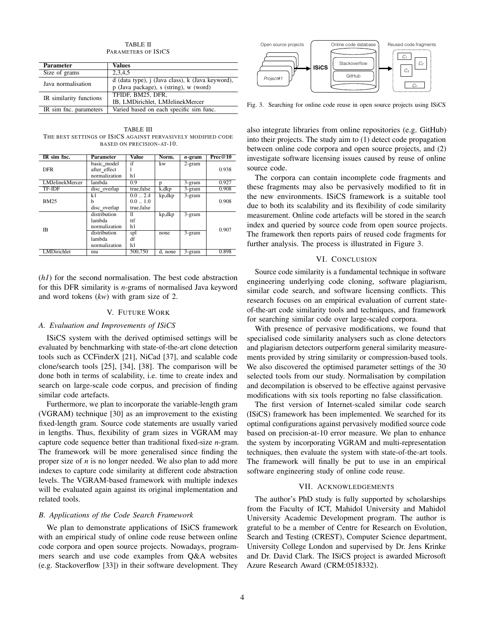#### TABLE II PARAMETERS OF ISICS

| <b>Parameter</b>        | Values                                           |  |  |
|-------------------------|--------------------------------------------------|--|--|
| Size of grams           | 2.3.4.5                                          |  |  |
| Java normalisation      | d (data type), j (Java class), k (Java keyword), |  |  |
|                         | p (Java package), s (string), w (word)           |  |  |
| IR similarity functions | TFIDF, BM25, DFR,                                |  |  |
|                         | IB, LMDirichlet, LMJelinekMercer                 |  |  |
| IR sim fnc. parameters  | Varied based on each specific sim func.          |  |  |

TABLE III THE BEST SETTINGS OF ISICS AGAINST PERVASIVELY MODIFIED CODE BASED ON PRECISION-AT-10.

| IR sim fnc.     | Parameter     | <b>Value</b> | Norm.   | $n$ -gram | Prec@10 |
|-----------------|---------------|--------------|---------|-----------|---------|
| <b>DFR</b>      | basic model   | if           | kw      | $2$ -gram |         |
|                 | after effect  |              |         |           | 0.938   |
|                 | normalization | h1           |         |           |         |
| LMJelinekMercer | lambda        | 0.9          | p       | 3-gram    | 0.927   |
| TF-IDF          | disc overlap  | true.false   | k,dkp   | 3-gram    | 0.908   |
| <b>BM25</b>     | k1            | $0.0-.2.4$   | kp,dkp  | 3-gram    |         |
|                 | h             | 0.01.0       |         |           | 0.908   |
|                 | disc overlap  | true, false  |         |           |         |
| <b>IB</b>       | distribution  | 11           | kp,dkp  | 3-gram    |         |
|                 | lambda        | ttf          |         |           |         |
|                 | normalization | h1           |         |           | 0.907   |
|                 | distribution  | spl          | none    | $3-gram$  |         |
|                 | lambda        | df           |         |           |         |
|                 | normalization | h1           |         |           |         |
| LMDirichlet     | mu            | 500,750      | d. none | 3-gram    | 0.898   |

(*h1*) for the second normalisation. The best code abstraction for this DFR similarity is *n*-grams of normalised Java keyword and word tokens (*kw*) with gram size of 2.

# V. FUTURE WORK

# *A. Evaluation and Improvements of ISiCS*

ISiCS system with the derived optimised settings will be evaluated by benchmarking with state-of-the-art clone detection tools such as CCFinderX [21], NiCad [37], and scalable code clone/search tools [25], [34], [38]. The comparison will be done both in terms of scalability, i.e. time to create index and search on large-scale code corpus, and precision of finding similar code artefacts.

Furthermore, we plan to incorporate the variable-length gram (VGRAM) technique [30] as an improvement to the existing fixed-length gram. Source code statements are usually varied in lengths. Thus, flexibility of gram sizes in VGRAM may capture code sequence better than traditional fixed-size *n*-gram. The framework will be more generalised since finding the proper size of *n* is no longer needed. We also plan to add more indexes to capture code similarity at different code abstraction levels. The VGRAM-based framework with multiple indexes will be evaluated again against its original implementation and related tools.

# *B. Applications of the Code Search Framework*

We plan to demonstrate applications of ISiCS framework with an empirical study of online code reuse between online code corpora and open source projects. Nowadays, programmers search and use code examples from Q&A websites (e.g. Stackoverflow [33]) in their software development. They



Fig. 3. Searching for online code reuse in open source projects using ISiCS

also integrate libraries from online repositories (e.g. GitHub) into their projects. The study aim to (1) detect code propagation between online code corpora and open source projects, and (2) investigate software licensing issues caused by reuse of online source code.

The corpora can contain incomplete code fragments and these fragments may also be pervasively modified to fit in the new environments. ISiCS framework is a suitable tool due to both its scalability and its flexibility of code similarity measurement. Online code artefacts will be stored in the search index and queried by source code from open source projects. The framework then reports pairs of reused code fragments for further analysis. The process is illustrated in Figure 3.

### VI. CONCLUSION

Source code similarity is a fundamental technique in software engineering underlying code cloning, software plagiarism, similar code search, and software licensing conflicts. This research focuses on an empirical evaluation of current stateof-the-art code similarity tools and techniques, and framework for searching similar code over large-scaled corpora.

With presence of pervasive modifications, we found that specialised code similarity analysers such as clone detectors and plagiarism detectors outperform general similarity measurements provided by string similarity or compression-based tools. We also discovered the optimised parameter settings of the 30 selected tools from our study. Normalisation by compilation and decompilation is observed to be effective against pervasive modifications with six tools reporting no false classification.

The first version of Internet-scaled similar code search (ISiCS) framework has been implemented. We searched for its optimal configurations against pervasively modified source code based on precision-at-10 error measure. We plan to enhance the system by incorporating VGRAM and multi-representation techniques, then evaluate the system with state-of-the-art tools. The framework will finally be put to use in an empirical software engineering study of online code reuse.

## VII. ACKNOWLEDGEMENTS

The author's PhD study is fully supported by scholarships from the Faculty of ICT, Mahidol University and Mahidol University Academic Development program. The author is grateful to be a member of Centre for Research on Evolution, Search and Testing (CREST), Computer Science department, University College London and supervised by Dr. Jens Krinke and Dr. David Clark. The ISiCS project is awarded Microsoft Azure Research Award (CRM:0518332).